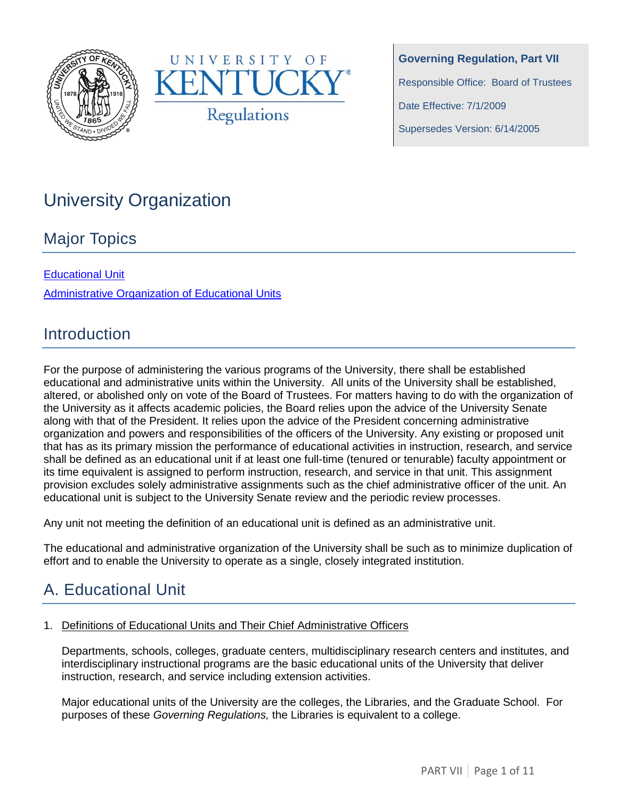



**Governing Regulation, Part VII** Responsible Office: Board of Trustees Date Effective: 7/1/2009 Supersedes Version: 6/14/2005

# University Organization

## Major Topics

[Educational Unit](#page-0-0) [Administrative Organization of Educational Units](#page-6-0)

## **Introduction**

For the purpose of administering the various programs of the University, there shall be established educational and administrative units within the University. All units of the University shall be established, altered, or abolished only on vote of the Board of Trustees. For matters having to do with the organization of the University as it affects academic policies, the Board relies upon the advice of the University Senate along with that of the President. It relies upon the advice of the President concerning administrative organization and powers and responsibilities of the officers of the University. Any existing or proposed unit that has as its primary mission the performance of educational activities in instruction, research, and service shall be defined as an educational unit if at least one full-time (tenured or tenurable) faculty appointment or its time equivalent is assigned to perform instruction, research, and service in that unit. This assignment provision excludes solely administrative assignments such as the chief administrative officer of the unit. An educational unit is subject to the University Senate review and the periodic review processes.

Any unit not meeting the definition of an educational unit is defined as an administrative unit.

The educational and administrative organization of the University shall be such as to minimize duplication of effort and to enable the University to operate as a single, closely integrated institution.

## <span id="page-0-0"></span>A. Educational Unit

#### 1. Definitions of Educational Units and Their Chief Administrative Officers

Departments, schools, colleges, graduate centers, multidisciplinary research centers and institutes, and interdisciplinary instructional programs are the basic educational units of the University that deliver instruction, research, and service including extension activities.

Major educational units of the University are the colleges, the Libraries, and the Graduate School. For purposes of these *Governing Regulations,* the Libraries is equivalent to a college.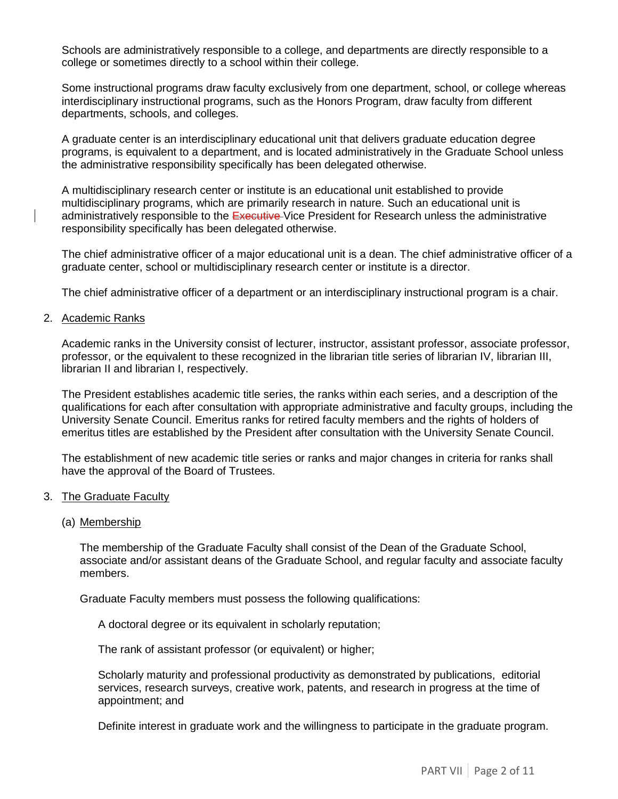Schools are administratively responsible to a college, and departments are directly responsible to a college or sometimes directly to a school within their college.

Some instructional programs draw faculty exclusively from one department, school, or college whereas interdisciplinary instructional programs, such as the Honors Program, draw faculty from different departments, schools, and colleges.

A graduate center is an interdisciplinary educational unit that delivers graduate education degree programs, is equivalent to a department, and is located administratively in the Graduate School unless the administrative responsibility specifically has been delegated otherwise.

A multidisciplinary research center or institute is an educational unit established to provide multidisciplinary programs, which are primarily research in nature. Such an educational unit is administratively responsible to the Executive-Vice President for Research unless the administrative responsibility specifically has been delegated otherwise.

The chief administrative officer of a major educational unit is a dean. The chief administrative officer of a graduate center, school or multidisciplinary research center or institute is a director.

The chief administrative officer of a department or an interdisciplinary instructional program is a chair.

#### 2. Academic Ranks

Academic ranks in the University consist of lecturer, instructor, assistant professor, associate professor, professor, or the equivalent to these recognized in the librarian title series of librarian IV, librarian III, librarian II and librarian I, respectively.

The President establishes academic title series, the ranks within each series, and a description of the qualifications for each after consultation with appropriate administrative and faculty groups, including the University Senate Council. Emeritus ranks for retired faculty members and the rights of holders of emeritus titles are established by the President after consultation with the University Senate Council.

The establishment of new academic title series or ranks and major changes in criteria for ranks shall have the approval of the Board of Trustees.

#### 3. The Graduate Faculty

#### (a) Membership

The membership of the Graduate Faculty shall consist of the Dean of the Graduate School, associate and/or assistant deans of the Graduate School, and regular faculty and associate faculty members.

Graduate Faculty members must possess the following qualifications:

A doctoral degree or its equivalent in scholarly reputation;

The rank of assistant professor (or equivalent) or higher;

Scholarly maturity and professional productivity as demonstrated by publications, editorial services, research surveys, creative work, patents, and research in progress at the time of appointment; and

Definite interest in graduate work and the willingness to participate in the graduate program.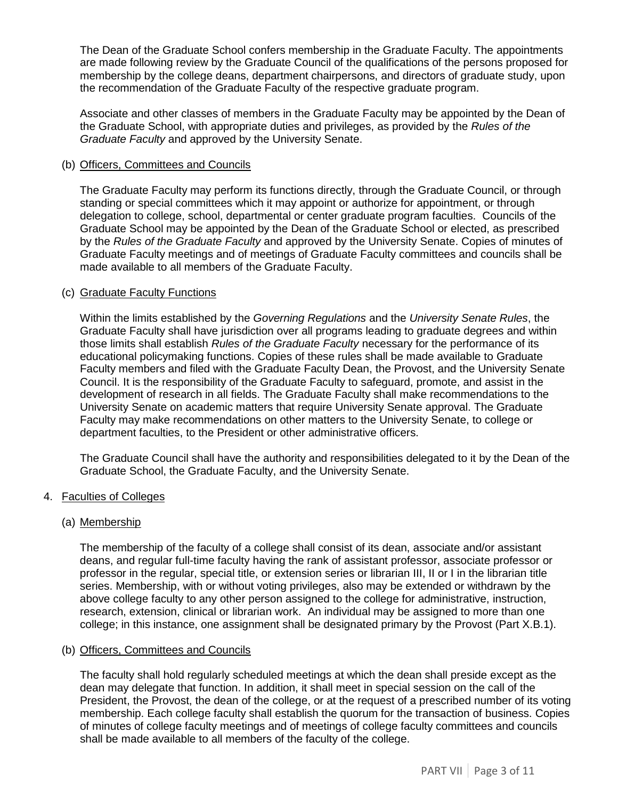The Dean of the Graduate School confers membership in the Graduate Faculty. The appointments are made following review by the Graduate Council of the qualifications of the persons proposed for membership by the college deans, department chairpersons, and directors of graduate study, upon the recommendation of the Graduate Faculty of the respective graduate program.

Associate and other classes of members in the Graduate Faculty may be appointed by the Dean of the Graduate School, with appropriate duties and privileges, as provided by the *Rules of the Graduate Faculty* and approved by the University Senate.

#### (b) Officers, Committees and Councils

The Graduate Faculty may perform its functions directly, through the Graduate Council, or through standing or special committees which it may appoint or authorize for appointment, or through delegation to college, school, departmental or center graduate program faculties. Councils of the Graduate School may be appointed by the Dean of the Graduate School or elected, as prescribed by the *Rules of the Graduate Faculty* and approved by the University Senate. Copies of minutes of Graduate Faculty meetings and of meetings of Graduate Faculty committees and councils shall be made available to all members of the Graduate Faculty.

#### (c) Graduate Faculty Functions

Within the limits established by the *Governing Regulations* and the *University Senate Rules*, the Graduate Faculty shall have jurisdiction over all programs leading to graduate degrees and within those limits shall establish *Rules of the Graduate Faculty* necessary for the performance of its educational policymaking functions. Copies of these rules shall be made available to Graduate Faculty members and filed with the Graduate Faculty Dean, the Provost, and the University Senate Council. It is the responsibility of the Graduate Faculty to safeguard, promote, and assist in the development of research in all fields. The Graduate Faculty shall make recommendations to the University Senate on academic matters that require University Senate approval. The Graduate Faculty may make recommendations on other matters to the University Senate, to college or department faculties, to the President or other administrative officers.

The Graduate Council shall have the authority and responsibilities delegated to it by the Dean of the Graduate School, the Graduate Faculty, and the University Senate.

#### 4. Faculties of Colleges

#### (a) Membership

The membership of the faculty of a college shall consist of its dean, associate and/or assistant deans, and regular full-time faculty having the rank of assistant professor, associate professor or professor in the regular, special title, or extension series or librarian III, II or I in the librarian title series. Membership, with or without voting privileges, also may be extended or withdrawn by the above college faculty to any other person assigned to the college for administrative, instruction, research, extension, clinical or librarian work. An individual may be assigned to more than one college; in this instance, one assignment shall be designated primary by the Provost (Part X.B.1).

#### (b) Officers, Committees and Councils

The faculty shall hold regularly scheduled meetings at which the dean shall preside except as the dean may delegate that function. In addition, it shall meet in special session on the call of the President, the Provost, the dean of the college, or at the request of a prescribed number of its voting membership. Each college faculty shall establish the quorum for the transaction of business. Copies of minutes of college faculty meetings and of meetings of college faculty committees and councils shall be made available to all members of the faculty of the college.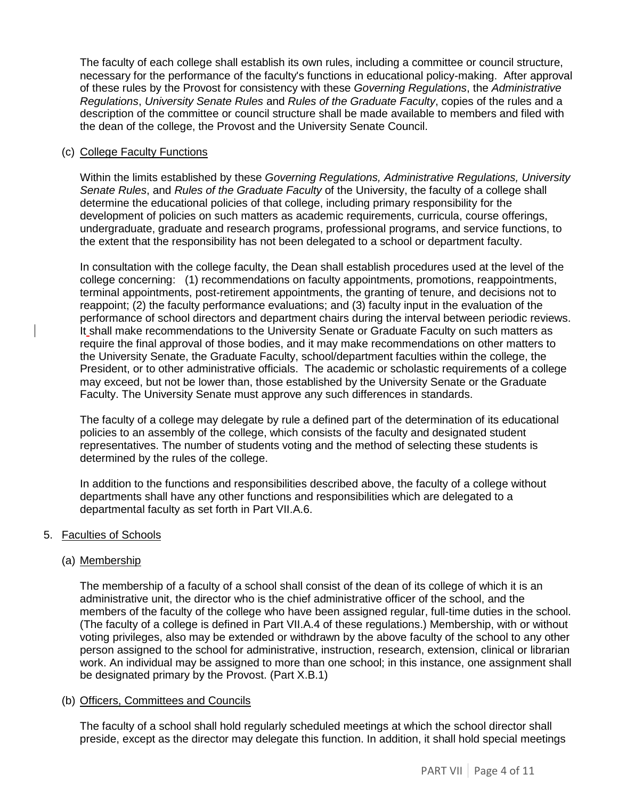The faculty of each college shall establish its own rules, including a committee or council structure, necessary for the performance of the faculty's functions in educational policy-making. After approval of these rules by the Provost for consistency with these *Governing Regulations*, the *Administrative Regulations*, *University Senate Rules* and *Rules of the Graduate Faculty*, copies of the rules and a description of the committee or council structure shall be made available to members and filed with the dean of the college, the Provost and the University Senate Council.

#### (c) College Faculty Functions

Within the limits established by these *Governing Regulations, Administrative Regulations, University Senate Rules*, and *Rules of the Graduate Faculty* of the University, the faculty of a college shall determine the educational policies of that college, including primary responsibility for the development of policies on such matters as academic requirements, curricula, course offerings, undergraduate, graduate and research programs, professional programs, and service functions, to the extent that the responsibility has not been delegated to a school or department faculty.

In consultation with the college faculty, the Dean shall establish procedures used at the level of the college concerning: (1) recommendations on faculty appointments, promotions, reappointments, terminal appointments, post-retirement appointments, the granting of tenure, and decisions not to reappoint; (2) the faculty performance evaluations; and (3) faculty input in the evaluation of the performance of school directors and department chairs during the interval between periodic reviews. It shall make recommendations to the University Senate or Graduate Faculty on such matters as require the final approval of those bodies, and it may make recommendations on other matters to the University Senate, the Graduate Faculty, school/department faculties within the college, the President, or to other administrative officials. The academic or scholastic requirements of a college may exceed, but not be lower than, those established by the University Senate or the Graduate Faculty. The University Senate must approve any such differences in standards.

The faculty of a college may delegate by rule a defined part of the determination of its educational policies to an assembly of the college, which consists of the faculty and designated student representatives. The number of students voting and the method of selecting these students is determined by the rules of the college.

In addition to the functions and responsibilities described above, the faculty of a college without departments shall have any other functions and responsibilities which are delegated to a departmental faculty as set forth in Part VII.A.6.

#### 5. Faculties of Schools

#### (a) Membership

The membership of a faculty of a school shall consist of the dean of its college of which it is an administrative unit, the director who is the chief administrative officer of the school, and the members of the faculty of the college who have been assigned regular, full-time duties in the school. (The faculty of a college is defined in Part VII.A.4 of these regulations.) Membership, with or without voting privileges, also may be extended or withdrawn by the above faculty of the school to any other person assigned to the school for administrative, instruction, research, extension, clinical or librarian work. An individual may be assigned to more than one school; in this instance, one assignment shall be designated primary by the Provost. (Part X.B.1)

#### (b) Officers, Committees and Councils

The faculty of a school shall hold regularly scheduled meetings at which the school director shall preside, except as the director may delegate this function. In addition, it shall hold special meetings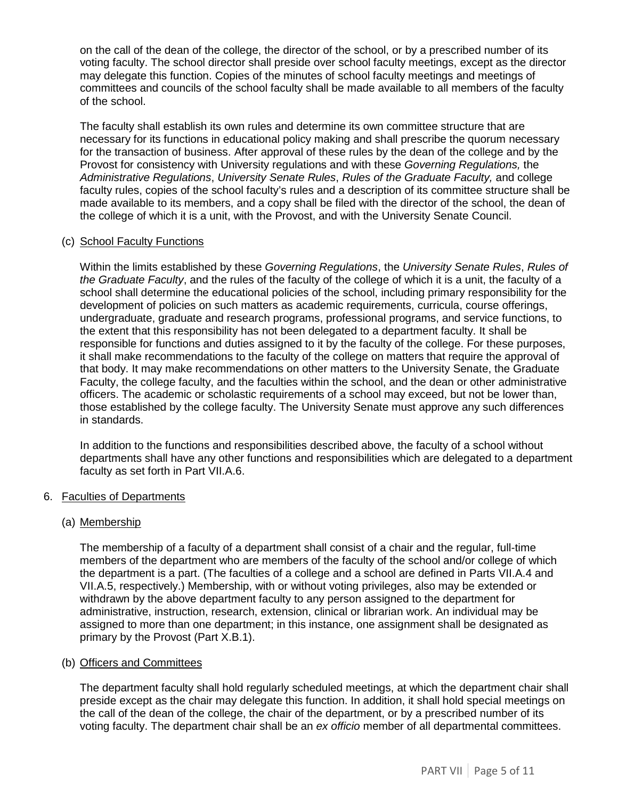on the call of the dean of the college, the director of the school, or by a prescribed number of its voting faculty. The school director shall preside over school faculty meetings, except as the director may delegate this function. Copies of the minutes of school faculty meetings and meetings of committees and councils of the school faculty shall be made available to all members of the faculty of the school.

The faculty shall establish its own rules and determine its own committee structure that are necessary for its functions in educational policy making and shall prescribe the quorum necessary for the transaction of business. After approval of these rules by the dean of the college and by the Provost for consistency with University regulations and with these *Governing Regulations,* the *Administrative Regulations*, *University Senate Rules*, *Rules of the Graduate Faculty,* and college faculty rules, copies of the school faculty's rules and a description of its committee structure shall be made available to its members, and a copy shall be filed with the director of the school, the dean of the college of which it is a unit, with the Provost, and with the University Senate Council.

#### (c) School Faculty Functions

Within the limits established by these *Governing Regulations*, the *University Senate Rules*, *Rules of the Graduate Faculty*, and the rules of the faculty of the college of which it is a unit, the faculty of a school shall determine the educational policies of the school, including primary responsibility for the development of policies on such matters as academic requirements, curricula, course offerings, undergraduate, graduate and research programs, professional programs, and service functions, to the extent that this responsibility has not been delegated to a department faculty. It shall be responsible for functions and duties assigned to it by the faculty of the college. For these purposes, it shall make recommendations to the faculty of the college on matters that require the approval of that body. It may make recommendations on other matters to the University Senate, the Graduate Faculty, the college faculty, and the faculties within the school, and the dean or other administrative officers. The academic or scholastic requirements of a school may exceed, but not be lower than, those established by the college faculty. The University Senate must approve any such differences in standards.

In addition to the functions and responsibilities described above, the faculty of a school without departments shall have any other functions and responsibilities which are delegated to a department faculty as set forth in Part VII.A.6.

#### 6. Faculties of Departments

#### (a) Membership

The membership of a faculty of a department shall consist of a chair and the regular, full-time members of the department who are members of the faculty of the school and/or college of which the department is a part. (The faculties of a college and a school are defined in Parts VII.A.4 and VII.A.5, respectively.) Membership, with or without voting privileges, also may be extended or withdrawn by the above department faculty to any person assigned to the department for administrative, instruction, research, extension, clinical or librarian work. An individual may be assigned to more than one department; in this instance, one assignment shall be designated as primary by the Provost (Part X.B.1).

#### (b) Officers and Committees

The department faculty shall hold regularly scheduled meetings, at which the department chair shall preside except as the chair may delegate this function. In addition, it shall hold special meetings on the call of the dean of the college, the chair of the department, or by a prescribed number of its voting faculty. The department chair shall be an *ex officio* member of all departmental committees.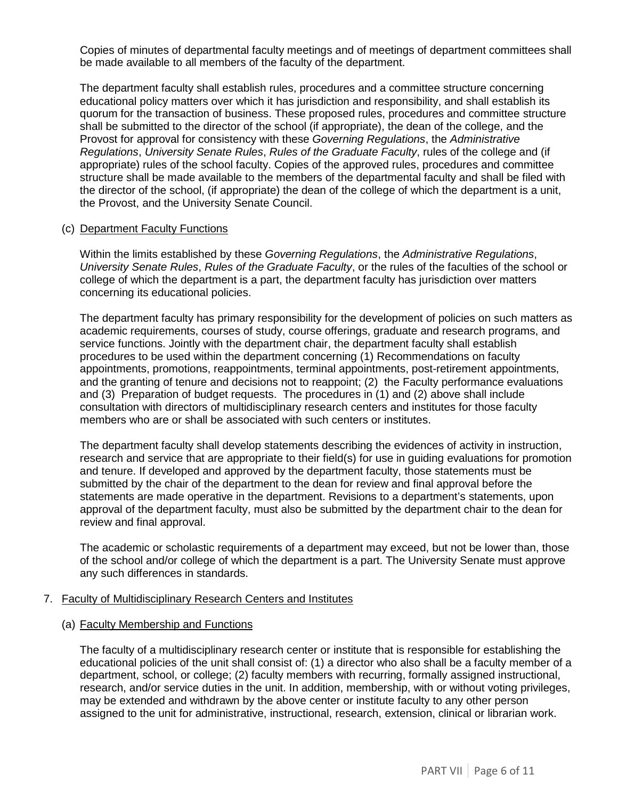Copies of minutes of departmental faculty meetings and of meetings of department committees shall be made available to all members of the faculty of the department.

The department faculty shall establish rules, procedures and a committee structure concerning educational policy matters over which it has jurisdiction and responsibility, and shall establish its quorum for the transaction of business. These proposed rules, procedures and committee structure shall be submitted to the director of the school (if appropriate), the dean of the college, and the Provost for approval for consistency with these *Governing Regulations*, the *Administrative Regulations*, *University Senate Rules*, *Rules of the Graduate Faculty*, rules of the college and (if appropriate) rules of the school faculty. Copies of the approved rules, procedures and committee structure shall be made available to the members of the departmental faculty and shall be filed with the director of the school, (if appropriate) the dean of the college of which the department is a unit, the Provost, and the University Senate Council.

#### (c) Department Faculty Functions

Within the limits established by these *Governing Regulations*, the *Administrative Regulations*, *University Senate Rules*, *Rules of the Graduate Faculty*, or the rules of the faculties of the school or college of which the department is a part, the department faculty has jurisdiction over matters concerning its educational policies.

The department faculty has primary responsibility for the development of policies on such matters as academic requirements, courses of study, course offerings, graduate and research programs, and service functions. Jointly with the department chair, the department faculty shall establish procedures to be used within the department concerning (1) Recommendations on faculty appointments, promotions, reappointments, terminal appointments, post-retirement appointments, and the granting of tenure and decisions not to reappoint; (2) the Faculty performance evaluations and (3) Preparation of budget requests. The procedures in (1) and (2) above shall include consultation with directors of multidisciplinary research centers and institutes for those faculty members who are or shall be associated with such centers or institutes.

The department faculty shall develop statements describing the evidences of activity in instruction, research and service that are appropriate to their field(s) for use in guiding evaluations for promotion and tenure. If developed and approved by the department faculty, those statements must be submitted by the chair of the department to the dean for review and final approval before the statements are made operative in the department. Revisions to a department's statements, upon approval of the department faculty, must also be submitted by the department chair to the dean for review and final approval.

The academic or scholastic requirements of a department may exceed, but not be lower than, those of the school and/or college of which the department is a part. The University Senate must approve any such differences in standards.

#### 7. Faculty of Multidisciplinary Research Centers and Institutes

#### (a) Faculty Membership and Functions

The faculty of a multidisciplinary research center or institute that is responsible for establishing the educational policies of the unit shall consist of: (1) a director who also shall be a faculty member of a department, school, or college; (2) faculty members with recurring, formally assigned instructional, research, and/or service duties in the unit. In addition, membership, with or without voting privileges, may be extended and withdrawn by the above center or institute faculty to any other person assigned to the unit for administrative, instructional, research, extension, clinical or librarian work.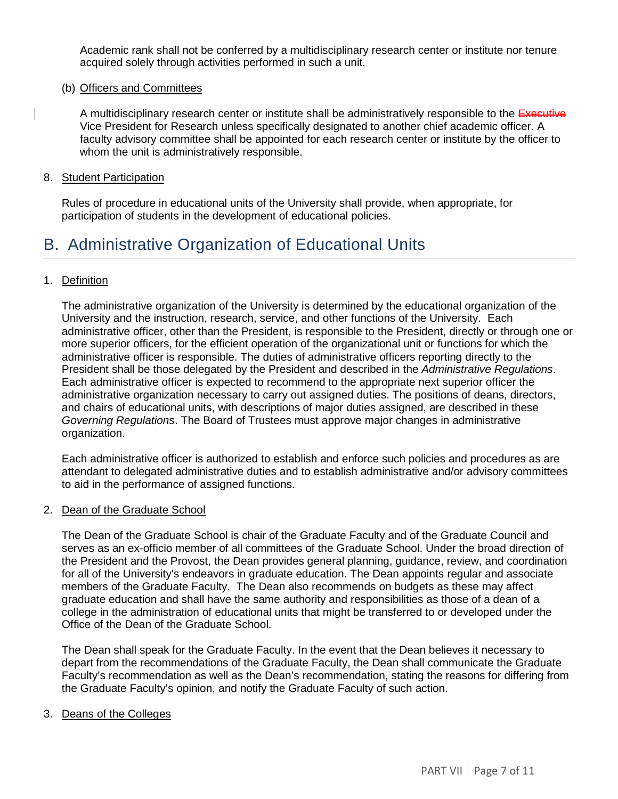Academic rank shall not be conferred by a multidisciplinary research center or institute nor tenure acquired solely through activities performed in such a unit.

#### (b) Officers and Committees

A multidisciplinary research center or institute shall be administratively responsible to the Executive Vice President for Research unless specifically designated to another chief academic officer. A faculty advisory committee shall be appointed for each research center or institute by the officer to whom the unit is administratively responsible.

#### 8. Student Participation

Rules of procedure in educational units of the University shall provide, when appropriate, for participation of students in the development of educational policies.

### <span id="page-6-0"></span>B. Administrative Organization of Educational Units

#### 1. Definition

The administrative organization of the University is determined by the educational organization of the University and the instruction, research, service, and other functions of the University. Each administrative officer, other than the President, is responsible to the President, directly or through one or more superior officers, for the efficient operation of the organizational unit or functions for which the administrative officer is responsible. The duties of administrative officers reporting directly to the President shall be those delegated by the President and described in the *Administrative Regulations*. Each administrative officer is expected to recommend to the appropriate next superior officer the administrative organization necessary to carry out assigned duties. The positions of deans, directors, and chairs of educational units, with descriptions of major duties assigned, are described in these *Governing Regulations*. The Board of Trustees must approve major changes in administrative organization.

Each administrative officer is authorized to establish and enforce such policies and procedures as are attendant to delegated administrative duties and to establish administrative and/or advisory committees to aid in the performance of assigned functions.

#### 2. Dean of the Graduate School

The Dean of the Graduate School is chair of the Graduate Faculty and of the Graduate Council and serves as an ex-officio member of all committees of the Graduate School. Under the broad direction of the President and the Provost, the Dean provides general planning, guidance, review, and coordination for all of the University's endeavors in graduate education. The Dean appoints regular and associate members of the Graduate Faculty. The Dean also recommends on budgets as these may affect graduate education and shall have the same authority and responsibilities as those of a dean of a college in the administration of educational units that might be transferred to or developed under the Office of the Dean of the Graduate School.

The Dean shall speak for the Graduate Faculty. In the event that the Dean believes it necessary to depart from the recommendations of the Graduate Faculty, the Dean shall communicate the Graduate Faculty's recommendation as well as the Dean's recommendation, stating the reasons for differing from the Graduate Faculty's opinion, and notify the Graduate Faculty of such action.

#### 3. Deans of the Colleges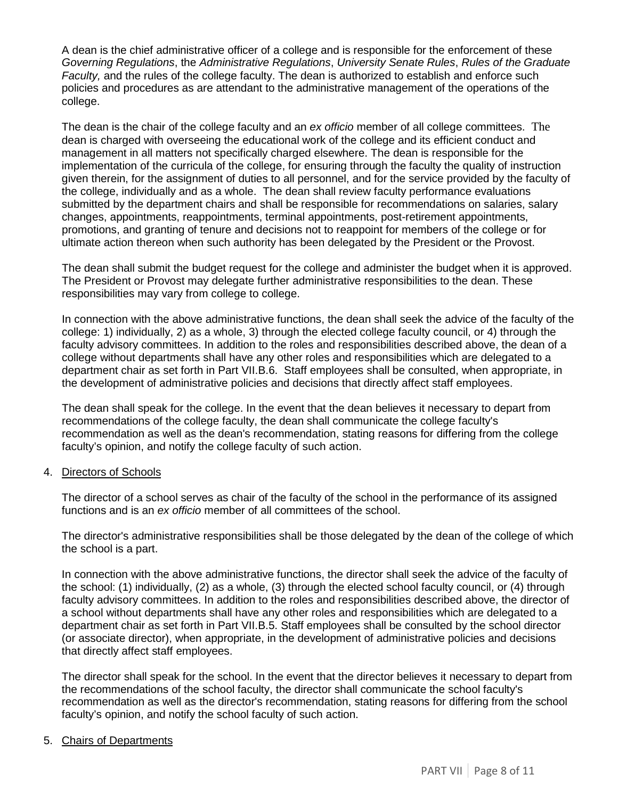A dean is the chief administrative officer of a college and is responsible for the enforcement of these *Governing Regulations*, the *Administrative Regulations*, *University Senate Rules*, *Rules of the Graduate Faculty,* and the rules of the college faculty. The dean is authorized to establish and enforce such policies and procedures as are attendant to the administrative management of the operations of the college.

The dean is the chair of the college faculty and an *ex officio* member of all college committees. The dean is charged with overseeing the educational work of the college and its efficient conduct and management in all matters not specifically charged elsewhere. The dean is responsible for the implementation of the curricula of the college, for ensuring through the faculty the quality of instruction given therein, for the assignment of duties to all personnel, and for the service provided by the faculty of the college, individually and as a whole. The dean shall review faculty performance evaluations submitted by the department chairs and shall be responsible for recommendations on salaries, salary changes, appointments, reappointments, terminal appointments, post-retirement appointments, promotions, and granting of tenure and decisions not to reappoint for members of the college or for ultimate action thereon when such authority has been delegated by the President or the Provost.

The dean shall submit the budget request for the college and administer the budget when it is approved. The President or Provost may delegate further administrative responsibilities to the dean. These responsibilities may vary from college to college.

In connection with the above administrative functions, the dean shall seek the advice of the faculty of the college: 1) individually, 2) as a whole, 3) through the elected college faculty council, or 4) through the faculty advisory committees. In addition to the roles and responsibilities described above, the dean of a college without departments shall have any other roles and responsibilities which are delegated to a department chair as set forth in Part VII.B.6. Staff employees shall be consulted, when appropriate, in the development of administrative policies and decisions that directly affect staff employees.

The dean shall speak for the college. In the event that the dean believes it necessary to depart from recommendations of the college faculty, the dean shall communicate the college faculty's recommendation as well as the dean's recommendation, stating reasons for differing from the college faculty's opinion, and notify the college faculty of such action.

#### 4. Directors of Schools

The director of a school serves as chair of the faculty of the school in the performance of its assigned functions and is an *ex officio* member of all committees of the school.

The director's administrative responsibilities shall be those delegated by the dean of the college of which the school is a part.

In connection with the above administrative functions, the director shall seek the advice of the faculty of the school: (1) individually, (2) as a whole, (3) through the elected school faculty council, or (4) through faculty advisory committees. In addition to the roles and responsibilities described above, the director of a school without departments shall have any other roles and responsibilities which are delegated to a department chair as set forth in Part VII.B.5. Staff employees shall be consulted by the school director (or associate director), when appropriate, in the development of administrative policies and decisions that directly affect staff employees.

The director shall speak for the school. In the event that the director believes it necessary to depart from the recommendations of the school faculty, the director shall communicate the school faculty's recommendation as well as the director's recommendation, stating reasons for differing from the school faculty's opinion, and notify the school faculty of such action.

#### 5. Chairs of Departments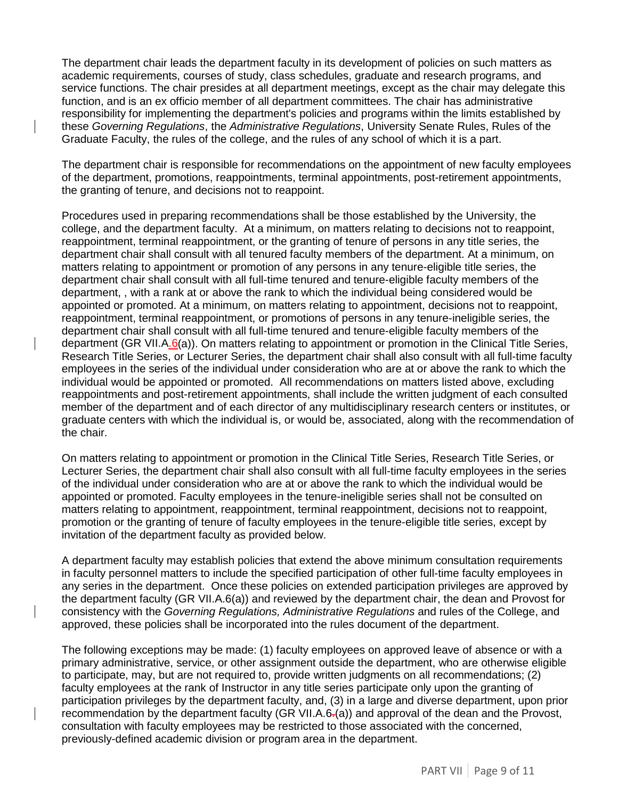The department chair leads the department faculty in its development of policies on such matters as academic requirements, courses of study, class schedules, graduate and research programs, and service functions. The chair presides at all department meetings, except as the chair may delegate this function, and is an ex officio member of all department committees. The chair has administrative responsibility for implementing the department's policies and programs within the limits established by these *Governing Regulations*, the *Administrative Regulations*, University Senate Rules, Rules of the Graduate Faculty, the rules of the college, and the rules of any school of which it is a part.

The department chair is responsible for recommendations on the appointment of new faculty employees of the department, promotions, reappointments, terminal appointments, post-retirement appointments, the granting of tenure, and decisions not to reappoint.

Procedures used in preparing recommendations shall be those established by the University, the college, and the department faculty. At a minimum, on matters relating to decisions not to reappoint, reappointment, terminal reappointment, or the granting of tenure of persons in any title series, the department chair shall consult with all tenured faculty members of the department. At a minimum, on matters relating to appointment or promotion of any persons in any tenure-eligible title series, the department chair shall consult with all full-time tenured and tenure-eligible faculty members of the department, , with a rank at or above the rank to which the individual being considered would be appointed or promoted. At a minimum, on matters relating to appointment, decisions not to reappoint, reappointment, terminal reappointment, or promotions of persons in any tenure-ineligible series, the department chair shall consult with all full-time tenured and tenure-eligible faculty members of the department (GR VII.A.6(a)). On matters relating to appointment or promotion in the Clinical Title Series, Research Title Series, or Lecturer Series, the department chair shall also consult with all full-time faculty employees in the series of the individual under consideration who are at or above the rank to which the individual would be appointed or promoted. All recommendations on matters listed above, excluding reappointments and post-retirement appointments, shall include the written judgment of each consulted member of the department and of each director of any multidisciplinary research centers or institutes, or graduate centers with which the individual is, or would be, associated, along with the recommendation of the chair.

On matters relating to appointment or promotion in the Clinical Title Series, Research Title Series, or Lecturer Series, the department chair shall also consult with all full-time faculty employees in the series of the individual under consideration who are at or above the rank to which the individual would be appointed or promoted. Faculty employees in the tenure-ineligible series shall not be consulted on matters relating to appointment, reappointment, terminal reappointment, decisions not to reappoint, promotion or the granting of tenure of faculty employees in the tenure-eligible title series, except by invitation of the department faculty as provided below.

A department faculty may establish policies that extend the above minimum consultation requirements in faculty personnel matters to include the specified participation of other full-time faculty employees in any series in the department. Once these policies on extended participation privileges are approved by the department faculty (GR VII.A.6(a)) and reviewed by the department chair, the dean and Provost for consistency with the *Governing Regulations, Administrative Regulations* and rules of the College, and approved, these policies shall be incorporated into the rules document of the department.

The following exceptions may be made: (1) faculty employees on approved leave of absence or with a primary administrative, service, or other assignment outside the department, who are otherwise eligible to participate, may, but are not required to, provide written judgments on all recommendations; (2) faculty employees at the rank of Instructor in any title series participate only upon the granting of participation privileges by the department faculty, and, (3) in a large and diverse department, upon prior recommendation by the department faculty (GR VII.A.6.(a)) and approval of the dean and the Provost, consultation with faculty employees may be restricted to those associated with the concerned, previously-defined academic division or program area in the department.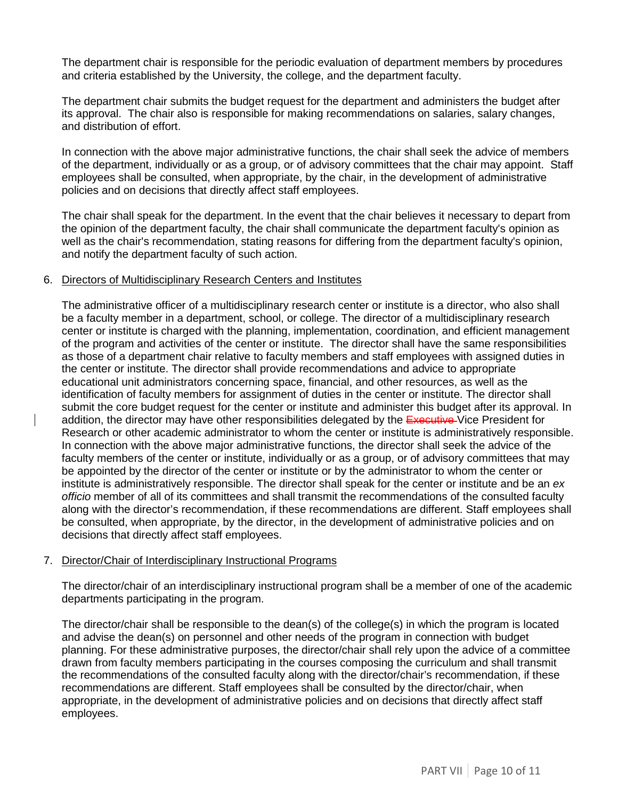The department chair is responsible for the periodic evaluation of department members by procedures and criteria established by the University, the college, and the department faculty.

The department chair submits the budget request for the department and administers the budget after its approval. The chair also is responsible for making recommendations on salaries, salary changes, and distribution of effort.

In connection with the above major administrative functions, the chair shall seek the advice of members of the department, individually or as a group, or of advisory committees that the chair may appoint. Staff employees shall be consulted, when appropriate, by the chair, in the development of administrative policies and on decisions that directly affect staff employees.

The chair shall speak for the department. In the event that the chair believes it necessary to depart from the opinion of the department faculty, the chair shall communicate the department faculty's opinion as well as the chair's recommendation, stating reasons for differing from the department faculty's opinion, and notify the department faculty of such action.

#### 6. Directors of Multidisciplinary Research Centers and Institutes

The administrative officer of a multidisciplinary research center or institute is a director, who also shall be a faculty member in a department, school, or college. The director of a multidisciplinary research center or institute is charged with the planning, implementation, coordination, and efficient management of the program and activities of the center or institute. The director shall have the same responsibilities as those of a department chair relative to faculty members and staff employees with assigned duties in the center or institute. The director shall provide recommendations and advice to appropriate educational unit administrators concerning space, financial, and other resources, as well as the identification of faculty members for assignment of duties in the center or institute. The director shall submit the core budget request for the center or institute and administer this budget after its approval. In addition, the director may have other responsibilities delegated by the Executive-Vice President for Research or other academic administrator to whom the center or institute is administratively responsible. In connection with the above major administrative functions, the director shall seek the advice of the faculty members of the center or institute, individually or as a group, or of advisory committees that may be appointed by the director of the center or institute or by the administrator to whom the center or institute is administratively responsible. The director shall speak for the center or institute and be an *ex officio* member of all of its committees and shall transmit the recommendations of the consulted faculty along with the director's recommendation, if these recommendations are different. Staff employees shall be consulted, when appropriate, by the director, in the development of administrative policies and on decisions that directly affect staff employees.

#### 7. Director/Chair of Interdisciplinary Instructional Programs

The director/chair of an interdisciplinary instructional program shall be a member of one of the academic departments participating in the program.

The director/chair shall be responsible to the dean(s) of the college(s) in which the program is located and advise the dean(s) on personnel and other needs of the program in connection with budget planning. For these administrative purposes, the director/chair shall rely upon the advice of a committee drawn from faculty members participating in the courses composing the curriculum and shall transmit the recommendations of the consulted faculty along with the director/chair's recommendation, if these recommendations are different. Staff employees shall be consulted by the director/chair, when appropriate, in the development of administrative policies and on decisions that directly affect staff employees.